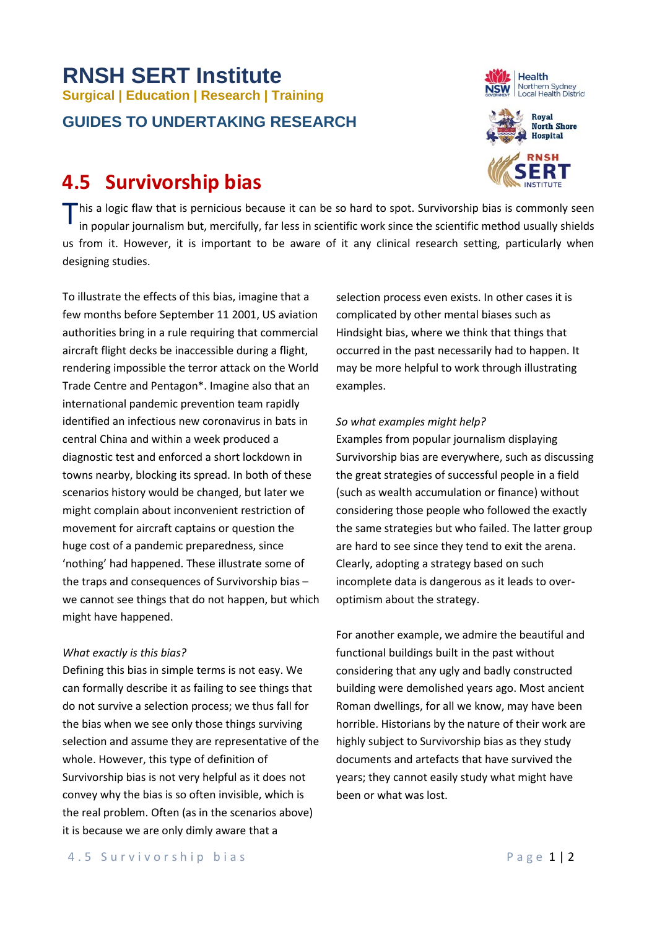## **RNSH SERT Institute Surgical | Education | Research | Training GUIDES TO UNDERTAKING RESEARCH**

## **4.5 Survivorship bias**





This a logic flaw that is pernicious because it can be so hard to spot. Survivorship bias is commonly seen<br>in popular journalism but, mercifully, far less in scientific work since the scientific method usually shields in popular journalism but, mercifully, far less in scientific work since the scientific method usually shields us from it. However, it is important to be aware of it any clinical research setting, particularly when designing studies.

To illustrate the effects of this bias, imagine that a few months before September 11 2001, US aviation authorities bring in a rule requiring that commercial aircraft flight decks be inaccessible during a flight, rendering impossible the terror attack on the World Trade Centre and Pentagon\*. Imagine also that an international pandemic prevention team rapidly identified an infectious new coronavirus in bats in central China and within a week produced a diagnostic test and enforced a short lockdown in towns nearby, blocking its spread. In both of these scenarios history would be changed, but later we might complain about inconvenient restriction of movement for aircraft captains or question the huge cost of a pandemic preparedness, since 'nothing' had happened. These illustrate some of the traps and consequences of Survivorship bias – we cannot see things that do not happen, but which might have happened.

## *What exactly is this bias?*

Defining this bias in simple terms is not easy. We can formally describe it as failing to see things that do not survive a selection process; we thus fall for the bias when we see only those things surviving selection and assume they are representative of the whole. However, this type of definition of Survivorship bias is not very helpful as it does not convey why the bias is so often invisible, which is the real problem. Often (as in the scenarios above) it is because we are only dimly aware that a

selection process even exists. In other cases it is complicated by other mental biases such as Hindsight bias, where we think that things that occurred in the past necessarily had to happen. It may be more helpful to work through illustrating examples.

## *So what examples might help?*

Examples from popular journalism displaying Survivorship bias are everywhere, such as discussing the great strategies of successful people in a field (such as wealth accumulation or finance) without considering those people who followed the exactly the same strategies but who failed. The latter group are hard to see since they tend to exit the arena. Clearly, adopting a strategy based on such incomplete data is dangerous as it leads to overoptimism about the strategy.

For another example, we admire the beautiful and functional buildings built in the past without considering that any ugly and badly constructed building were demolished years ago. Most ancient Roman dwellings, for all we know, may have been horrible. Historians by the nature of their work are highly subject to Survivorship bias as they study documents and artefacts that have survived the years; they cannot easily study what might have been or what was lost.